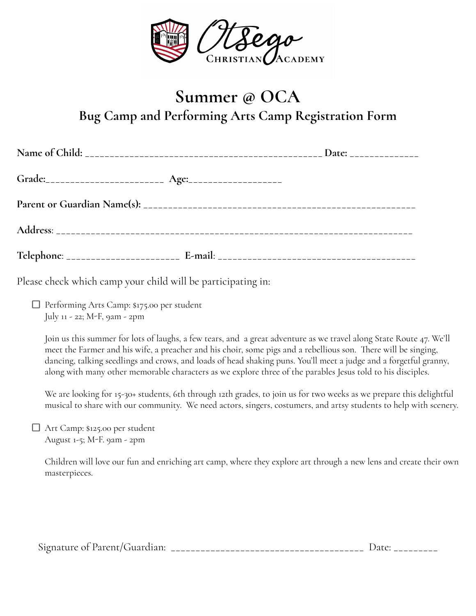

## **Summer @ OCA Bug Camp and Performing Arts Camp Registration Form**

Please check which camp your child will be participating in:

Performing Arts Camp: \$175.00 per student July 11 - 22; M-F, 9am - 2pm

Join us this summer for lots of laughs, a few tears, and a great adventure as we travel along State Route 47. We'll meet the Farmer and his wife, a preacher and his choir, some pigs and a rebellious son. There will be singing, dancing, talking seedlings and crows, and loads of head shaking puns. You'll meet a judge and a forgetful granny, along with many other memorable characters as we explore three of the parables Jesus told to his disciples.

We are looking for 15-30+ students, 6th through 12th grades, to join us for two weeks as we prepare this delightful musical to share with our community. We need actors, singers, costumers, and artsy students to help with scenery.

Art Camp: \$125.00 per student August 1-5; M-F. 9am - 2pm

> Children will love our fun and enriching art camp, where they explore art through a new lens and create their own masterpieces.

Signature of Parent/Guardian: \_\_\_\_\_\_\_\_\_\_\_\_\_\_\_\_\_\_\_\_\_\_\_\_\_\_\_\_\_\_\_\_\_\_\_\_\_\_\_ Date: \_\_\_\_\_\_\_\_\_